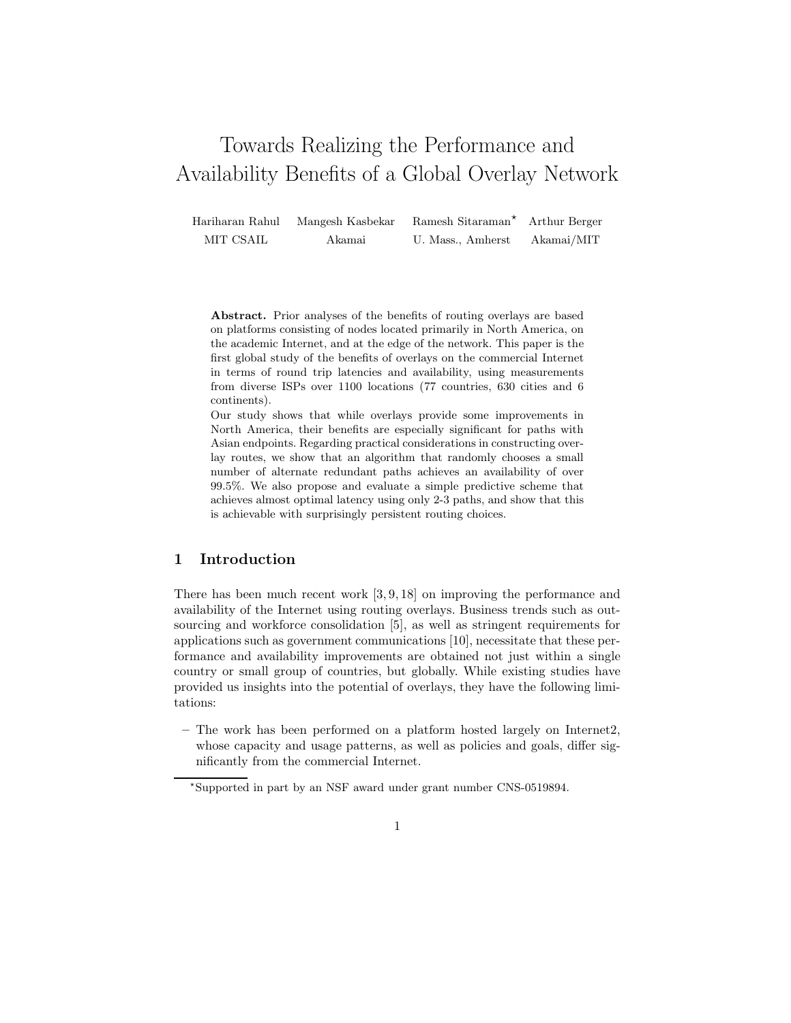# Towards Realizing the Performance and Availability Benefits of a Global Overlay Network

Hariharan Rahul Mangesh Kasbekar Ramesh Sitaraman? Arthur Berger MIT CSAIL Akamai U. Mass., Amherst Akamai/MIT

Abstract. Prior analyses of the benefits of routing overlays are based on platforms consisting of nodes located primarily in North America, on the academic Internet, and at the edge of the network. This paper is the first global study of the benefits of overlays on the commercial Internet in terms of round trip latencies and availability, using measurements from diverse ISPs over 1100 locations (77 countries, 630 cities and 6 continents).

Our study shows that while overlays provide some improvements in North America, their benefits are especially significant for paths with Asian endpoints. Regarding practical considerations in constructing overlay routes, we show that an algorithm that randomly chooses a small number of alternate redundant paths achieves an availability of over 99.5%. We also propose and evaluate a simple predictive scheme that achieves almost optimal latency using only 2-3 paths, and show that this is achievable with surprisingly persistent routing choices.

## 1 Introduction

There has been much recent work [3, 9, 18] on improving the performance and availability of the Internet using routing overlays. Business trends such as outsourcing and workforce consolidation [5], as well as stringent requirements for applications such as government communications [10], necessitate that these performance and availability improvements are obtained not just within a single country or small group of countries, but globally. While existing studies have provided us insights into the potential of overlays, they have the following limitations:

– The work has been performed on a platform hosted largely on Internet2, whose capacity and usage patterns, as well as policies and goals, differ significantly from the commercial Internet.

<sup>?</sup>Supported in part by an NSF award under grant number CNS-0519894.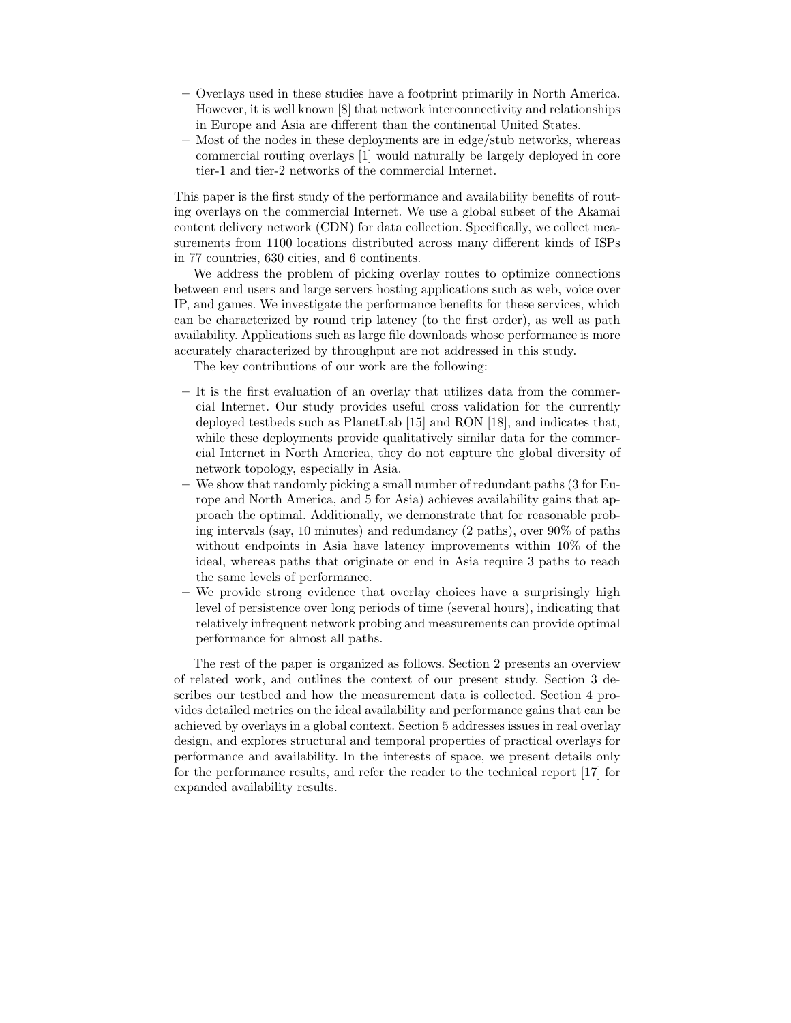- Overlays used in these studies have a footprint primarily in North America. However, it is well known [8] that network interconnectivity and relationships in Europe and Asia are different than the continental United States.
- Most of the nodes in these deployments are in edge/stub networks, whereas commercial routing overlays [1] would naturally be largely deployed in core tier-1 and tier-2 networks of the commercial Internet.

This paper is the first study of the performance and availability benefits of routing overlays on the commercial Internet. We use a global subset of the Akamai content delivery network (CDN) for data collection. Specifically, we collect measurements from 1100 locations distributed across many different kinds of ISPs in 77 countries, 630 cities, and 6 continents.

We address the problem of picking overlay routes to optimize connections between end users and large servers hosting applications such as web, voice over IP, and games. We investigate the performance benefits for these services, which can be characterized by round trip latency (to the first order), as well as path availability. Applications such as large file downloads whose performance is more accurately characterized by throughput are not addressed in this study.

The key contributions of our work are the following:

- It is the first evaluation of an overlay that utilizes data from the commercial Internet. Our study provides useful cross validation for the currently deployed testbeds such as PlanetLab [15] and RON [18], and indicates that, while these deployments provide qualitatively similar data for the commercial Internet in North America, they do not capture the global diversity of network topology, especially in Asia.
- We show that randomly picking a small number of redundant paths (3 for Europe and North America, and 5 for Asia) achieves availability gains that approach the optimal. Additionally, we demonstrate that for reasonable probing intervals (say, 10 minutes) and redundancy (2 paths), over 90% of paths without endpoints in Asia have latency improvements within 10% of the ideal, whereas paths that originate or end in Asia require 3 paths to reach the same levels of performance.
- We provide strong evidence that overlay choices have a surprisingly high level of persistence over long periods of time (several hours), indicating that relatively infrequent network probing and measurements can provide optimal performance for almost all paths.

The rest of the paper is organized as follows. Section 2 presents an overview of related work, and outlines the context of our present study. Section 3 describes our testbed and how the measurement data is collected. Section 4 provides detailed metrics on the ideal availability and performance gains that can be achieved by overlays in a global context. Section 5 addresses issues in real overlay design, and explores structural and temporal properties of practical overlays for performance and availability. In the interests of space, we present details only for the performance results, and refer the reader to the technical report [17] for expanded availability results.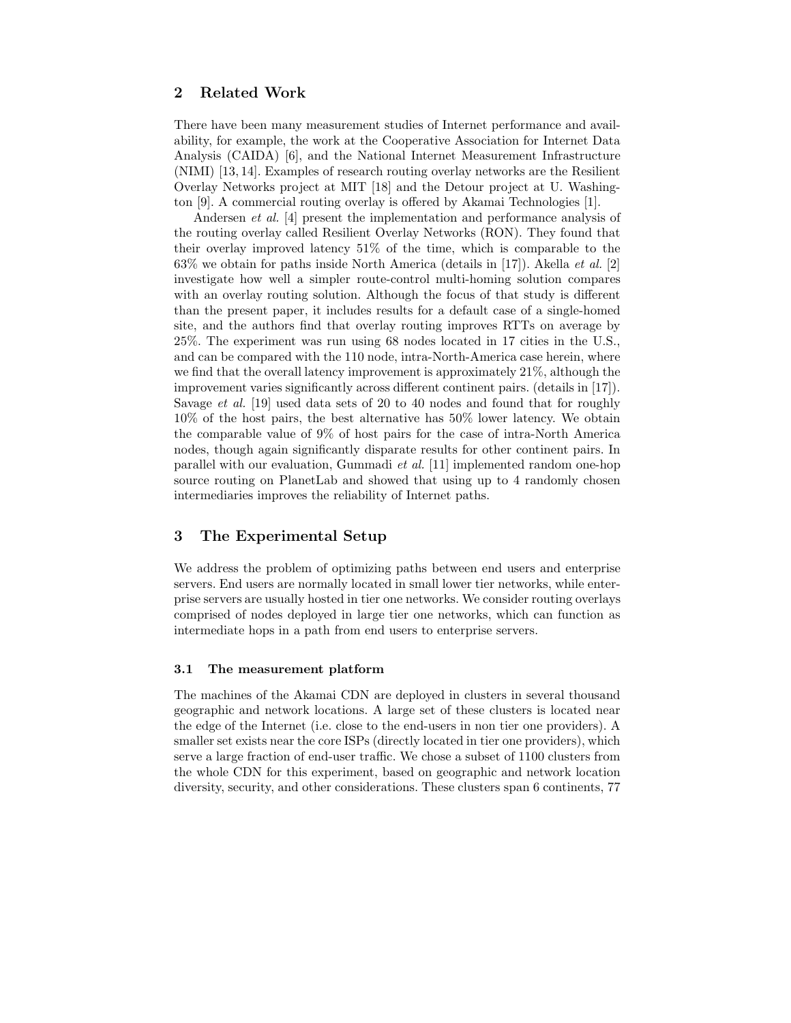# 2 Related Work

There have been many measurement studies of Internet performance and availability, for example, the work at the Cooperative Association for Internet Data Analysis (CAIDA) [6], and the National Internet Measurement Infrastructure (NIMI) [13, 14]. Examples of research routing overlay networks are the Resilient Overlay Networks project at MIT [18] and the Detour project at U. Washington [9]. A commercial routing overlay is offered by Akamai Technologies [1].

Andersen *et al.* [4] present the implementation and performance analysis of the routing overlay called Resilient Overlay Networks (RON). They found that their overlay improved latency 51% of the time, which is comparable to the 63% we obtain for paths inside North America (details in [17]). Akella *et al.* [2] investigate how well a simpler route-control multi-homing solution compares with an overlay routing solution. Although the focus of that study is different than the present paper, it includes results for a default case of a single-homed site, and the authors find that overlay routing improves RTTs on average by 25%. The experiment was run using 68 nodes located in 17 cities in the U.S., and can be compared with the 110 node, intra-North-America case herein, where we find that the overall latency improvement is approximately 21%, although the improvement varies significantly across different continent pairs. (details in [17]). Savage *et al.* [19] used data sets of 20 to 40 nodes and found that for roughly 10% of the host pairs, the best alternative has 50% lower latency. We obtain the comparable value of 9% of host pairs for the case of intra-North America nodes, though again significantly disparate results for other continent pairs. In parallel with our evaluation, Gummadi et al. [11] implemented random one-hop source routing on PlanetLab and showed that using up to 4 randomly chosen intermediaries improves the reliability of Internet paths.

## 3 The Experimental Setup

We address the problem of optimizing paths between end users and enterprise servers. End users are normally located in small lower tier networks, while enterprise servers are usually hosted in tier one networks. We consider routing overlays comprised of nodes deployed in large tier one networks, which can function as intermediate hops in a path from end users to enterprise servers.

#### 3.1 The measurement platform

The machines of the Akamai CDN are deployed in clusters in several thousand geographic and network locations. A large set of these clusters is located near the edge of the Internet (i.e. close to the end-users in non tier one providers). A smaller set exists near the core ISPs (directly located in tier one providers), which serve a large fraction of end-user traffic. We chose a subset of 1100 clusters from the whole CDN for this experiment, based on geographic and network location diversity, security, and other considerations. These clusters span 6 continents, 77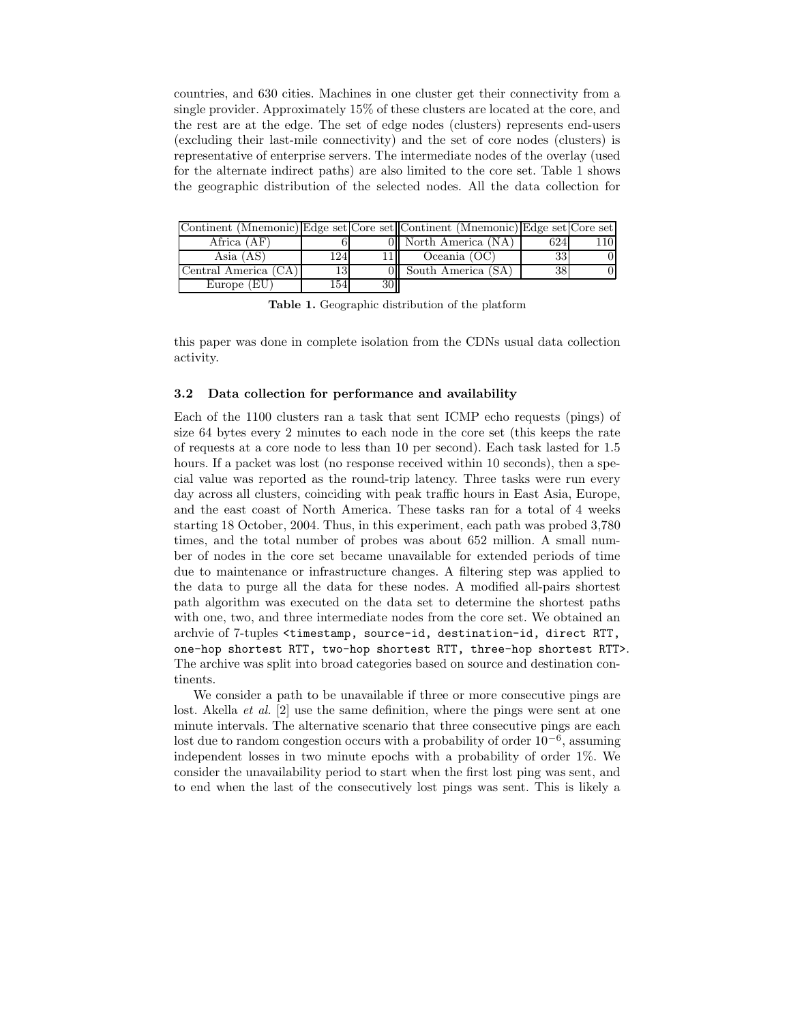countries, and 630 cities. Machines in one cluster get their connectivity from a single provider. Approximately 15% of these clusters are located at the core, and the rest are at the edge. The set of edge nodes (clusters) represents end-users (excluding their last-mile connectivity) and the set of core nodes (clusters) is representative of enterprise servers. The intermediate nodes of the overlay (used for the alternate indirect paths) are also limited to the core set. Table 1 shows the geographic distribution of the selected nodes. All the data collection for

|                      |      |           | Continent (Mnemonic) Edge set Core set Continent (Mnemonic) Edge set Core set |     |  |
|----------------------|------|-----------|-------------------------------------------------------------------------------|-----|--|
| Africa $(AF)$        |      |           | 0   North America (NA)                                                        | 624 |  |
| Asia $(AS)$          | 1241 |           | Oceania (OC)                                                                  | 33  |  |
| Central America (CA) | 13   |           | South America (SA)                                                            | 38  |  |
| Europe $(EU)$        | 1541 | <b>30</b> |                                                                               |     |  |

Table 1. Geographic distribution of the platform

this paper was done in complete isolation from the CDNs usual data collection activity.

#### 3.2 Data collection for performance and availability

Each of the 1100 clusters ran a task that sent ICMP echo requests (pings) of size 64 bytes every 2 minutes to each node in the core set (this keeps the rate of requests at a core node to less than 10 per second). Each task lasted for 1.5 hours. If a packet was lost (no response received within 10 seconds), then a special value was reported as the round-trip latency. Three tasks were run every day across all clusters, coinciding with peak traffic hours in East Asia, Europe, and the east coast of North America. These tasks ran for a total of 4 weeks starting 18 October, 2004. Thus, in this experiment, each path was probed 3,780 times, and the total number of probes was about 652 million. A small number of nodes in the core set became unavailable for extended periods of time due to maintenance or infrastructure changes. A filtering step was applied to the data to purge all the data for these nodes. A modified all-pairs shortest path algorithm was executed on the data set to determine the shortest paths with one, two, and three intermediate nodes from the core set. We obtained an archvie of 7-tuples <timestamp, source-id, destination-id, direct RTT, one-hop shortest RTT, two-hop shortest RTT, three-hop shortest RTT>. The archive was split into broad categories based on source and destination continents.

We consider a path to be unavailable if three or more consecutive pings are lost. Akella *et al.* [2] use the same definition, where the pings were sent at one minute intervals. The alternative scenario that three consecutive pings are each lost due to random congestion occurs with a probability of order  $10^{-6}$ , assuming independent losses in two minute epochs with a probability of order 1%. We consider the unavailability period to start when the first lost ping was sent, and to end when the last of the consecutively lost pings was sent. This is likely a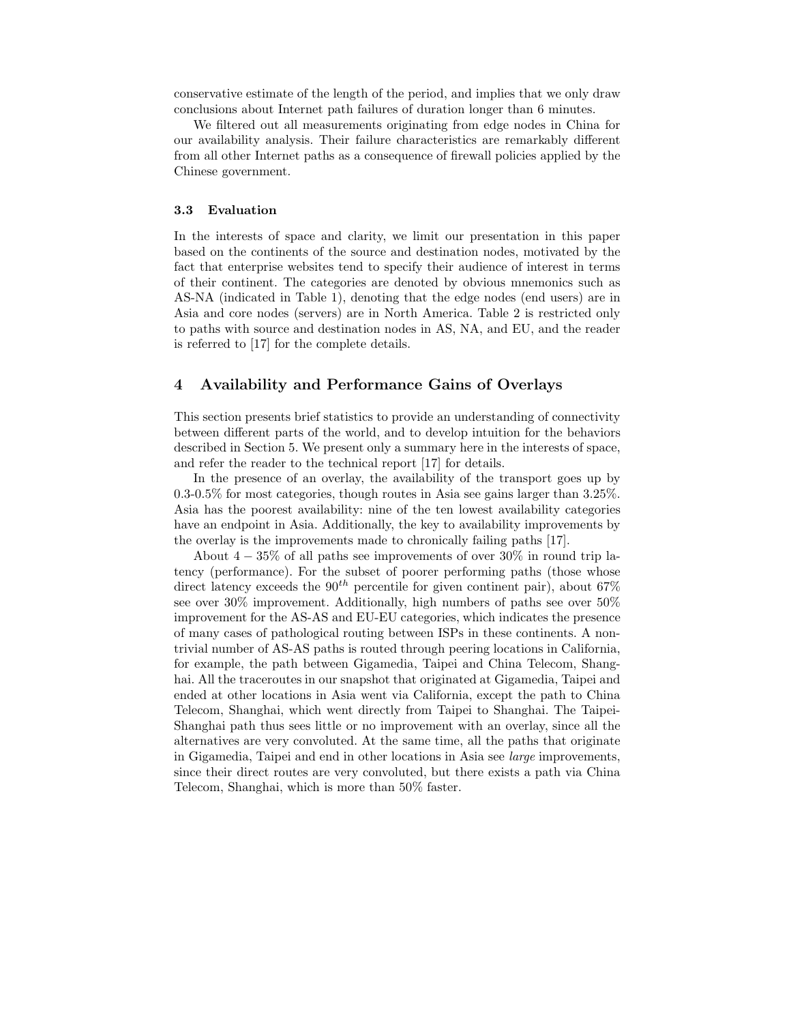conservative estimate of the length of the period, and implies that we only draw conclusions about Internet path failures of duration longer than 6 minutes.

We filtered out all measurements originating from edge nodes in China for our availability analysis. Their failure characteristics are remarkably different from all other Internet paths as a consequence of firewall policies applied by the Chinese government.

#### 3.3 Evaluation

In the interests of space and clarity, we limit our presentation in this paper based on the continents of the source and destination nodes, motivated by the fact that enterprise websites tend to specify their audience of interest in terms of their continent. The categories are denoted by obvious mnemonics such as AS-NA (indicated in Table 1), denoting that the edge nodes (end users) are in Asia and core nodes (servers) are in North America. Table 2 is restricted only to paths with source and destination nodes in AS, NA, and EU, and the reader is referred to [17] for the complete details.

## 4 Availability and Performance Gains of Overlays

This section presents brief statistics to provide an understanding of connectivity between different parts of the world, and to develop intuition for the behaviors described in Section 5. We present only a summary here in the interests of space, and refer the reader to the technical report [17] for details.

In the presence of an overlay, the availability of the transport goes up by 0.3-0.5% for most categories, though routes in Asia see gains larger than 3.25%. Asia has the poorest availability: nine of the ten lowest availability categories have an endpoint in Asia. Additionally, the key to availability improvements by the overlay is the improvements made to chronically failing paths [17].

About  $4-35\%$  of all paths see improvements of over  $30\%$  in round trip latency (performance). For the subset of poorer performing paths (those whose direct latency exceeds the  $90^{th}$  percentile for given continent pair), about 67% see over 30% improvement. Additionally, high numbers of paths see over 50% improvement for the AS-AS and EU-EU categories, which indicates the presence of many cases of pathological routing between ISPs in these continents. A nontrivial number of AS-AS paths is routed through peering locations in California, for example, the path between Gigamedia, Taipei and China Telecom, Shanghai. All the traceroutes in our snapshot that originated at Gigamedia, Taipei and ended at other locations in Asia went via California, except the path to China Telecom, Shanghai, which went directly from Taipei to Shanghai. The Taipei-Shanghai path thus sees little or no improvement with an overlay, since all the alternatives are very convoluted. At the same time, all the paths that originate in Gigamedia, Taipei and end in other locations in Asia see large improvements, since their direct routes are very convoluted, but there exists a path via China Telecom, Shanghai, which is more than 50% faster.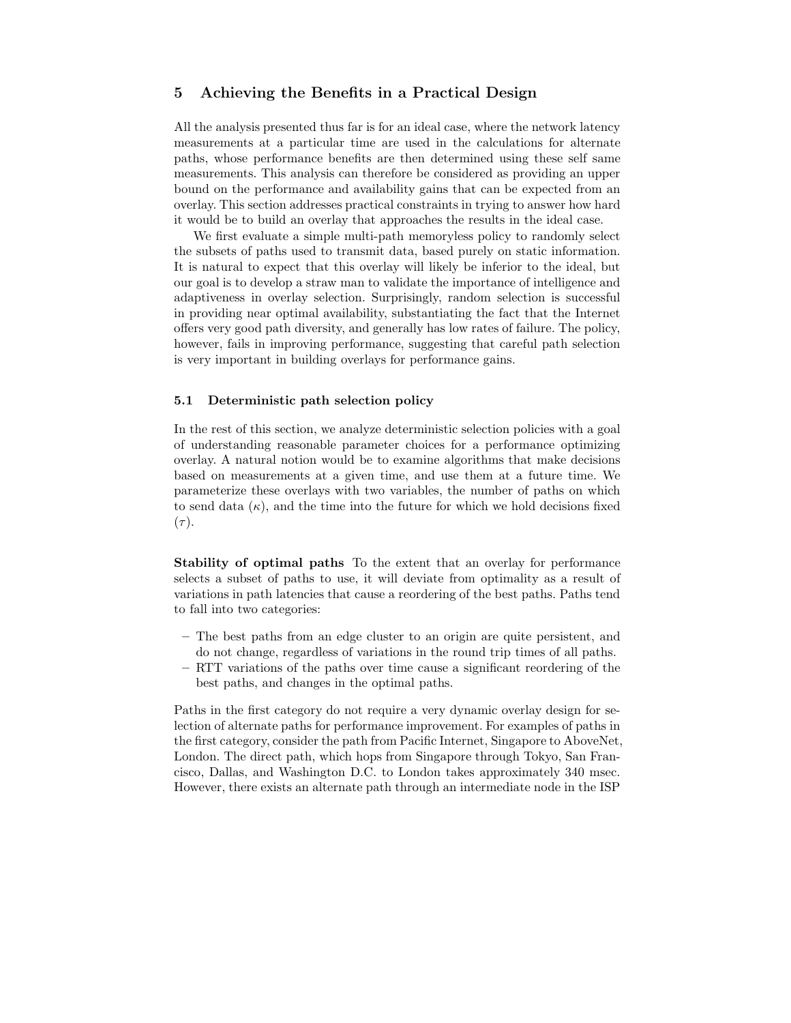## 5 Achieving the Benefits in a Practical Design

All the analysis presented thus far is for an ideal case, where the network latency measurements at a particular time are used in the calculations for alternate paths, whose performance benefits are then determined using these self same measurements. This analysis can therefore be considered as providing an upper bound on the performance and availability gains that can be expected from an overlay. This section addresses practical constraints in trying to answer how hard it would be to build an overlay that approaches the results in the ideal case.

We first evaluate a simple multi-path memoryless policy to randomly select the subsets of paths used to transmit data, based purely on static information. It is natural to expect that this overlay will likely be inferior to the ideal, but our goal is to develop a straw man to validate the importance of intelligence and adaptiveness in overlay selection. Surprisingly, random selection is successful in providing near optimal availability, substantiating the fact that the Internet offers very good path diversity, and generally has low rates of failure. The policy, however, fails in improving performance, suggesting that careful path selection is very important in building overlays for performance gains.

#### 5.1 Deterministic path selection policy

In the rest of this section, we analyze deterministic selection policies with a goal of understanding reasonable parameter choices for a performance optimizing overlay. A natural notion would be to examine algorithms that make decisions based on measurements at a given time, and use them at a future time. We parameterize these overlays with two variables, the number of paths on which to send data  $(\kappa)$ , and the time into the future for which we hold decisions fixed  $(\tau).$ 

Stability of optimal paths To the extent that an overlay for performance selects a subset of paths to use, it will deviate from optimality as a result of variations in path latencies that cause a reordering of the best paths. Paths tend to fall into two categories:

- The best paths from an edge cluster to an origin are quite persistent, and do not change, regardless of variations in the round trip times of all paths.
- RTT variations of the paths over time cause a significant reordering of the best paths, and changes in the optimal paths.

Paths in the first category do not require a very dynamic overlay design for selection of alternate paths for performance improvement. For examples of paths in the first category, consider the path from Pacific Internet, Singapore to AboveNet, London. The direct path, which hops from Singapore through Tokyo, San Francisco, Dallas, and Washington D.C. to London takes approximately 340 msec. However, there exists an alternate path through an intermediate node in the ISP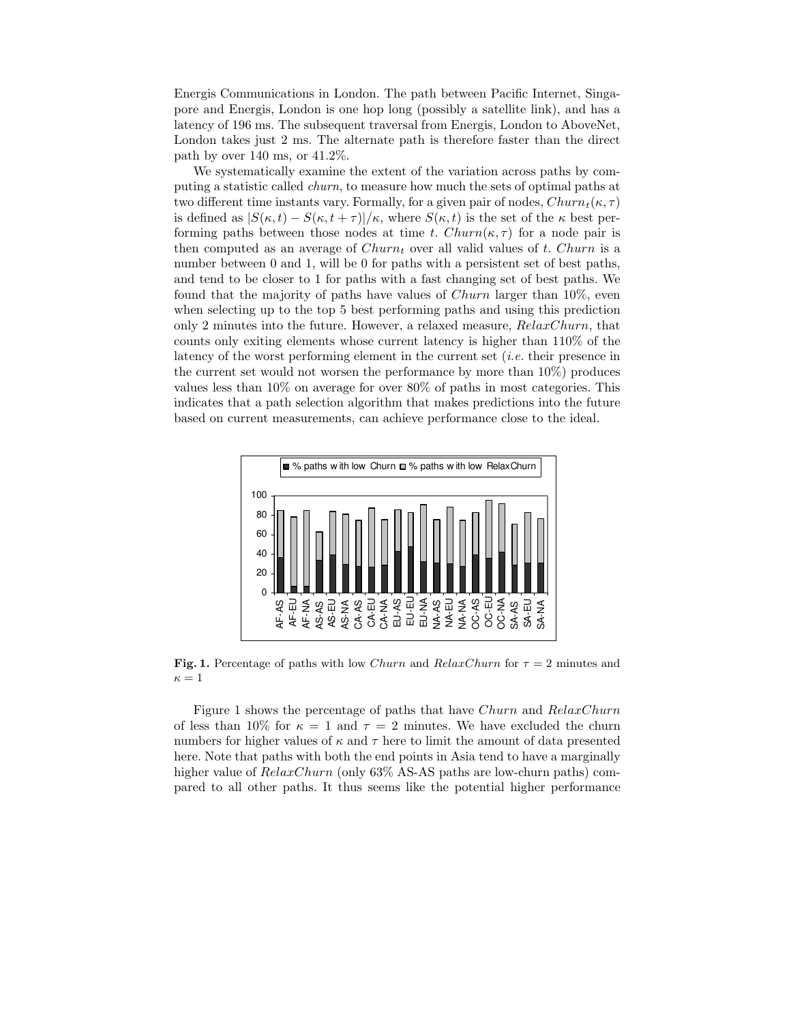Energis Communications in London. The path between Pacific Internet, Singapore and Energis, London is one hop long (possibly a satellite link), and has a latency of 196 ms. The subsequent traversal from Energis, London to AboveNet, London takes just 2 ms. The alternate path is therefore faster than the direct path by over 140 ms, or 41.2%.

We systematically examine the extent of the variation across paths by computing a statistic called churn, to measure how much the sets of optimal paths at two different time instants vary. Formally, for a given pair of nodes,  $Churn_t(\kappa, \tau)$ is defined as  $|S(\kappa,t) - S(\kappa,t+\tau)|/\kappa$ , where  $S(\kappa,t)$  is the set of the  $\kappa$  best performing paths between those nodes at time t.  $Churn(\kappa, \tau)$  for a node pair is then computed as an average of  $Churn<sub>t</sub>$  over all valid values of t. Churn is a number between 0 and 1, will be 0 for paths with a persistent set of best paths, and tend to be closer to 1 for paths with a fast changing set of best paths. We found that the majority of paths have values of Churn larger than 10%, even when selecting up to the top 5 best performing paths and using this prediction only 2 minutes into the future. However, a relaxed measure,  $RelaxChurn$ , that counts only exiting elements whose current latency is higher than 110% of the latency of the worst performing element in the current set (i.e. their presence in the current set would not worsen the performance by more than 10%) produces values less than 10% on average for over 80% of paths in most categories. This indicates that a path selection algorithm that makes predictions into the future based on current measurements, can achieve performance close to the ideal.



Fig. 1. Percentage of paths with low Churn and RelaxChurn for  $\tau = 2$  minutes and  $\kappa=1$ 

Figure 1 shows the percentage of paths that have Churn and RelaxChurn of less than 10% for  $\kappa = 1$  and  $\tau = 2$  minutes. We have excluded the churn numbers for higher values of  $\kappa$  and  $\tau$  here to limit the amount of data presented here. Note that paths with both the end points in Asia tend to have a marginally higher value of  $RelaxChurn$  (only 63% AS-AS paths are low-churn paths) compared to all other paths. It thus seems like the potential higher performance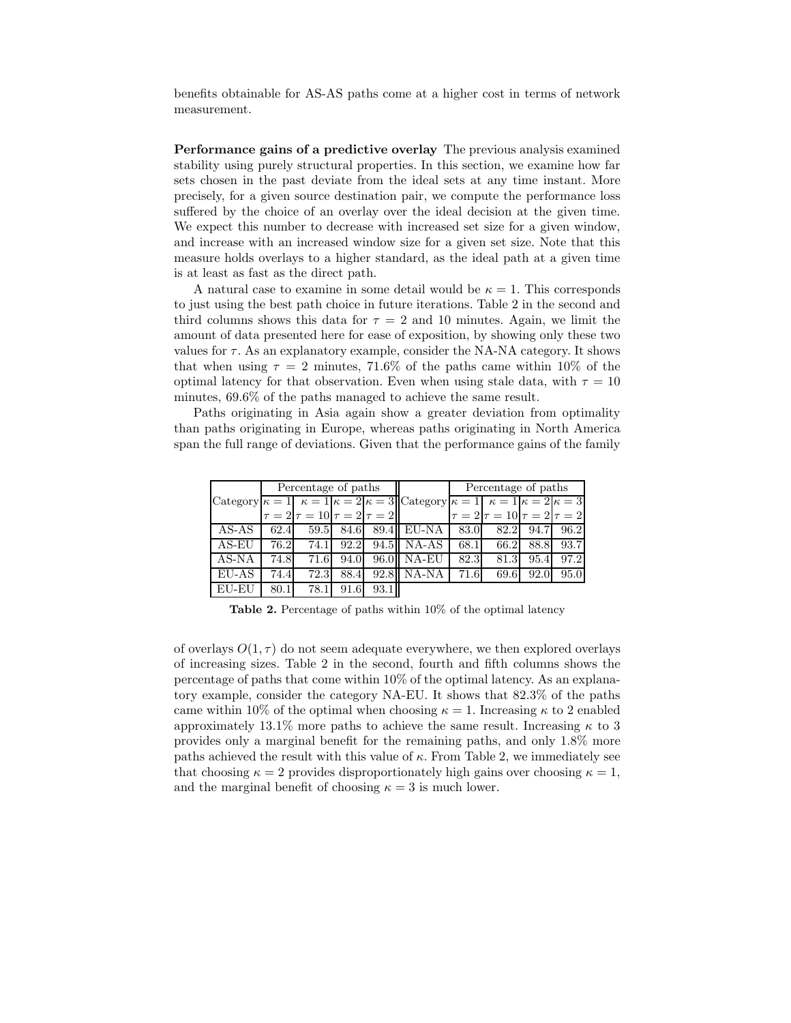benefits obtainable for AS-AS paths come at a higher cost in terms of network measurement.

Performance gains of a predictive overlay The previous analysis examined stability using purely structural properties. In this section, we examine how far sets chosen in the past deviate from the ideal sets at any time instant. More precisely, for a given source destination pair, we compute the performance loss suffered by the choice of an overlay over the ideal decision at the given time. We expect this number to decrease with increased set size for a given window, and increase with an increased window size for a given set size. Note that this measure holds overlays to a higher standard, as the ideal path at a given time is at least as fast as the direct path.

A natural case to examine in some detail would be  $\kappa = 1$ . This corresponds to just using the best path choice in future iterations. Table 2 in the second and third columns shows this data for  $\tau = 2$  and 10 minutes. Again, we limit the amount of data presented here for ease of exposition, by showing only these two values for  $\tau$ . As an explanatory example, consider the NA-NA category. It shows that when using  $\tau = 2$  minutes, 71.6% of the paths came within 10% of the optimal latency for that observation. Even when using stale data, with  $\tau = 10$ minutes, 69.6% of the paths managed to achieve the same result.

Paths originating in Asia again show a greater deviation from optimality than paths originating in Europe, whereas paths originating in North America span the full range of deviations. Given that the performance gains of the family

|       | Percentage of paths |                                         |      |                   | Percentage of paths                                                                                                       |      |                                         |           |      |
|-------|---------------------|-----------------------------------------|------|-------------------|---------------------------------------------------------------------------------------------------------------------------|------|-----------------------------------------|-----------|------|
|       |                     |                                         |      |                   | Category $\kappa = 1$ $\kappa = 1$ $\kappa = 2$ $\kappa = 3$ Category $\kappa = 1$ $\kappa = 1$ $\kappa = 2$ $\kappa = 3$ |      |                                         |           |      |
|       |                     | $\tau = 2 \tau = 10 \tau = 2 \tau = 2 $ |      |                   |                                                                                                                           |      | $\tau = 2 \tau = 10 \tau = 2 \tau = 2 $ |           |      |
| AS-AS | 62.4                | 59.5                                    | 84.6 |                   | 89.4 EU-NA 83.0                                                                                                           |      |                                         | 82.2 94.7 | 96.2 |
| AS-EU | 76.2                | 74.1                                    | 92.2 |                   | 94.5 NA-AS                                                                                                                | 68.1 | 66.2                                    | 88.8      | 93.7 |
| AS-NA | 74.8                | 71.6                                    | 94.0 |                   | 96.0 NA-EU                                                                                                                | 82.3 | 81.3                                    | 95.4      | 97.2 |
| EU-AS | 74.4                | 72.3                                    | 88.4 |                   | 92.8 NA-NA                                                                                                                | 71.6 | 69.6                                    | 92.0      | 95.0 |
| EU-EU | 80.1                | 78.1                                    | 91.6 | 93.1 <sup>I</sup> |                                                                                                                           |      |                                         |           |      |

Table 2. Percentage of paths within 10% of the optimal latency

of overlays  $O(1, \tau)$  do not seem adequate everywhere, we then explored overlays of increasing sizes. Table 2 in the second, fourth and fifth columns shows the percentage of paths that come within 10% of the optimal latency. As an explanatory example, consider the category NA-EU. It shows that 82.3% of the paths came within 10% of the optimal when choosing  $\kappa = 1$ . Increasing  $\kappa$  to 2 enabled approximately 13.1% more paths to achieve the same result. Increasing  $\kappa$  to 3 provides only a marginal benefit for the remaining paths, and only 1.8% more paths achieved the result with this value of  $\kappa$ . From Table 2, we immediately see that choosing  $\kappa = 2$  provides disproportionately high gains over choosing  $\kappa = 1$ , and the marginal benefit of choosing  $\kappa = 3$  is much lower.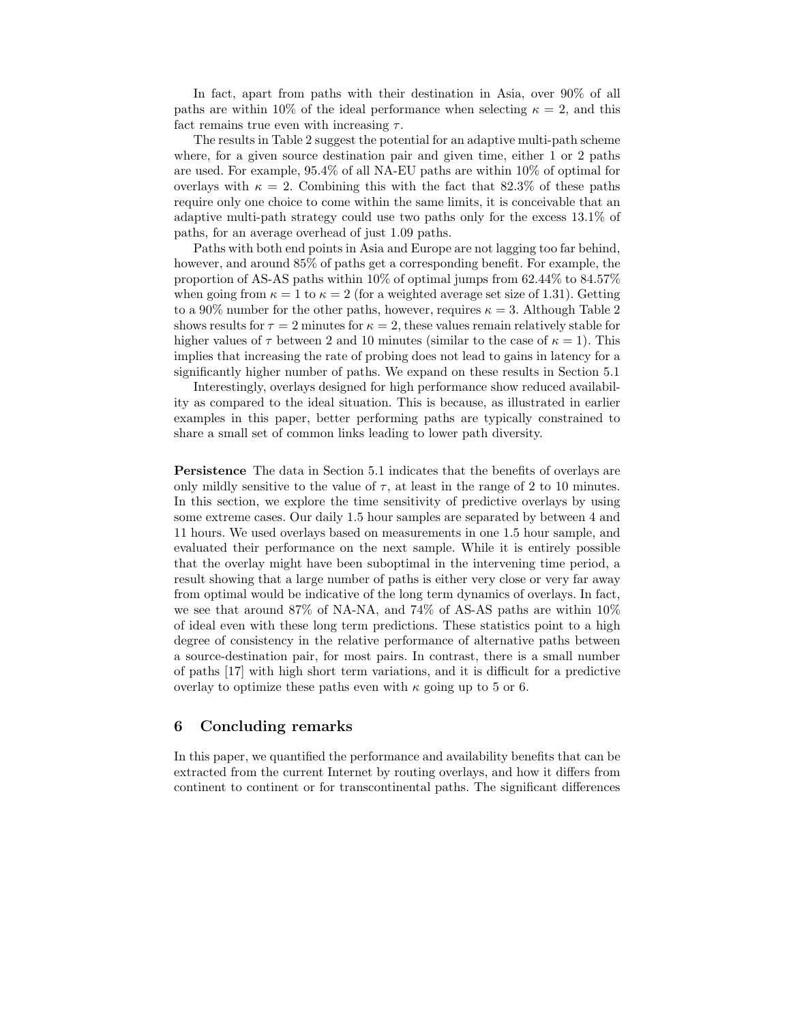In fact, apart from paths with their destination in Asia, over 90% of all paths are within 10% of the ideal performance when selecting  $\kappa = 2$ , and this fact remains true even with increasing  $\tau$ .

The results in Table 2 suggest the potential for an adaptive multi-path scheme where, for a given source destination pair and given time, either 1 or 2 paths are used. For example, 95.4% of all NA-EU paths are within 10% of optimal for overlays with  $\kappa = 2$ . Combining this with the fact that 82.3% of these paths require only one choice to come within the same limits, it is conceivable that an adaptive multi-path strategy could use two paths only for the excess 13.1% of paths, for an average overhead of just 1.09 paths.

Paths with both end points in Asia and Europe are not lagging too far behind, however, and around 85% of paths get a corresponding benefit. For example, the proportion of AS-AS paths within  $10\%$  of optimal jumps from  $62.44\%$  to  $84.57\%$ when going from  $\kappa = 1$  to  $\kappa = 2$  (for a weighted average set size of 1.31). Getting to a 90% number for the other paths, however, requires  $\kappa = 3$ . Although Table 2 shows results for  $\tau = 2$  minutes for  $\kappa = 2$ , these values remain relatively stable for higher values of  $\tau$  between 2 and 10 minutes (similar to the case of  $\kappa = 1$ ). This implies that increasing the rate of probing does not lead to gains in latency for a significantly higher number of paths. We expand on these results in Section 5.1

Interestingly, overlays designed for high performance show reduced availability as compared to the ideal situation. This is because, as illustrated in earlier examples in this paper, better performing paths are typically constrained to share a small set of common links leading to lower path diversity.

Persistence The data in Section 5.1 indicates that the benefits of overlays are only mildly sensitive to the value of  $\tau$ , at least in the range of 2 to 10 minutes. In this section, we explore the time sensitivity of predictive overlays by using some extreme cases. Our daily 1.5 hour samples are separated by between 4 and 11 hours. We used overlays based on measurements in one 1.5 hour sample, and evaluated their performance on the next sample. While it is entirely possible that the overlay might have been suboptimal in the intervening time period, a result showing that a large number of paths is either very close or very far away from optimal would be indicative of the long term dynamics of overlays. In fact, we see that around 87% of NA-NA, and 74% of AS-AS paths are within 10% of ideal even with these long term predictions. These statistics point to a high degree of consistency in the relative performance of alternative paths between a source-destination pair, for most pairs. In contrast, there is a small number of paths [17] with high short term variations, and it is difficult for a predictive overlay to optimize these paths even with  $\kappa$  going up to 5 or 6.

### 6 Concluding remarks

In this paper, we quantified the performance and availability benefits that can be extracted from the current Internet by routing overlays, and how it differs from continent to continent or for transcontinental paths. The significant differences